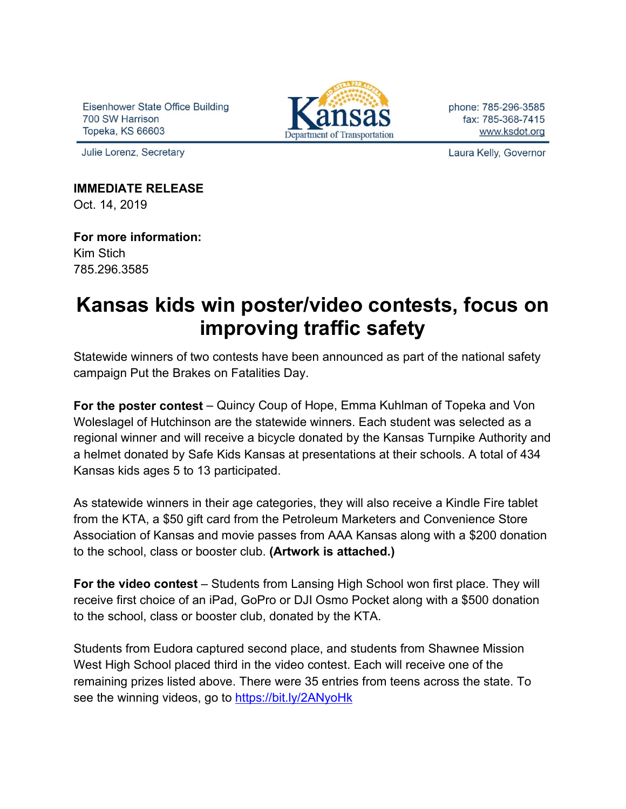Eisenhower State Office Building 700 SW Harrison Topeka, KS 66603

Julie Lorenz, Secretary



phone: 785-296-3585 fax: 785-368-7415 www.ksdot.org

Laura Kelly, Governor

**IMMEDIATE RELEASE** Oct. 14, 2019

**For more information:** Kim Stich 785.296.3585

## **Kansas kids win poster/video contests, focus on improving traffic safety**

Statewide winners of two contests have been announced as part of the national safety campaign Put the Brakes on Fatalities Day.

**For the poster contest** – Quincy Coup of Hope, Emma Kuhlman of Topeka and Von Woleslagel of Hutchinson are the statewide winners. Each student was selected as a regional winner and will receive a bicycle donated by the Kansas Turnpike Authority and a helmet donated by Safe Kids Kansas at presentations at their schools. A total of 434 Kansas kids ages 5 to 13 participated.

As statewide winners in their age categories, they will also receive a Kindle Fire tablet from the KTA, a \$50 gift card from the Petroleum Marketers and Convenience Store Association of Kansas and movie passes from AAA Kansas along with a \$200 donation to the school, class or booster club. **(Artwork is attached.)**

**For the video contest** – Students from Lansing High School won first place. They will receive first choice of an iPad, GoPro or DJI Osmo Pocket along with a \$500 donation to the school, class or booster club, donated by the KTA.

Students from Eudora captured second place, and students from Shawnee Mission West High School placed third in the video contest. Each will receive one of the remaining prizes listed above. There were 35 entries from teens across the state. To see the winning videos, go to<https://bit.ly/2ANyoHk>